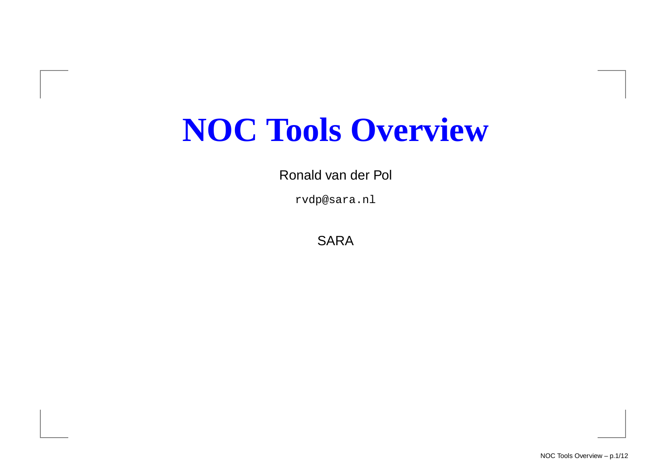## **NOC Tools Overview**

Ronald van der Pol

rvdp@sara.nl

SARA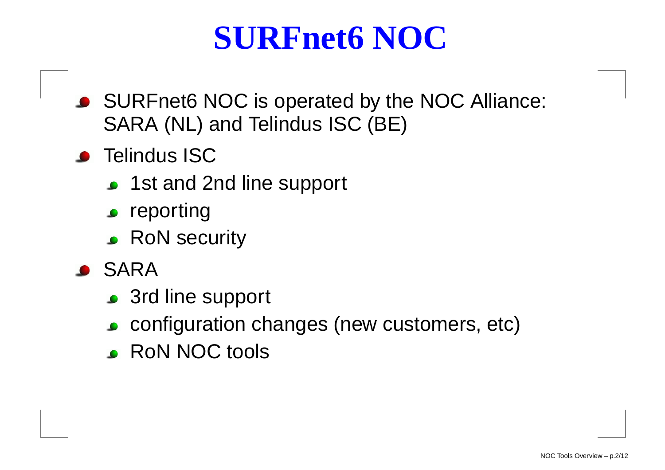#### **SURFnet6 NOC**

- SURFnet6 NOC is operated by the NOC Alliance: SARA (NL) and Telindus ISC (BE)
- **•** Telindus ISC
	- 1st and 2nd line support
	- $\bullet$  reporting
	- RoN security
- **SARA** 
	- 3rd line support
	- configuration changes (new customers, etc)
	- **RON NOC tools**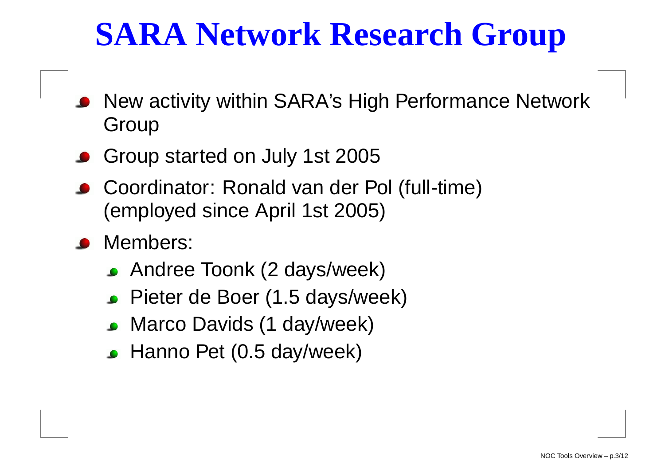## **SARA Network Research Group**

- New activity within SARA's High Performance NetworkGroup
- Group started on July 1st 2005
- Coordinator: Ronald van der Pol (full-time)(employed since April 1st 2005)
- Members:
	- Andree Toonk (2 days/week)
	- Pieter de Boer (1.5 days/week)
	- **Marco Davids (1 day/week)**
	- **Hanno Pet (0.5 day/week)**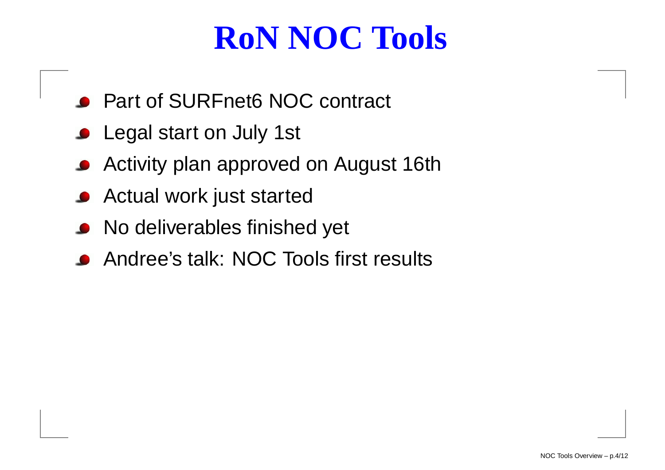## **RoN NOC Tools**

- Part of SURFnet6 NOC contract
- **C** Legal start on July 1st
- **Activity plan approved on August 16th**
- **Actual work just started**
- **•** No deliverables finished yet
- Andree's talk: NOC Tools first results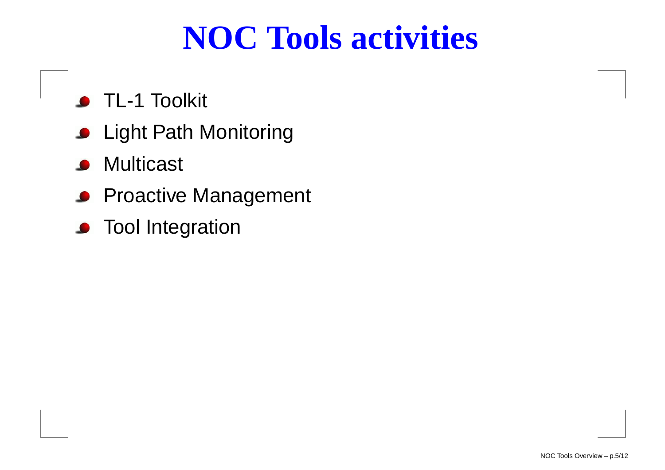#### **NOC Tools activities**

- **S** TL-1 Toolkit
- **C** Light Path Monitoring
- **Multicast**  $\bullet$
- **Proactive Management**
- **•** Tool Integration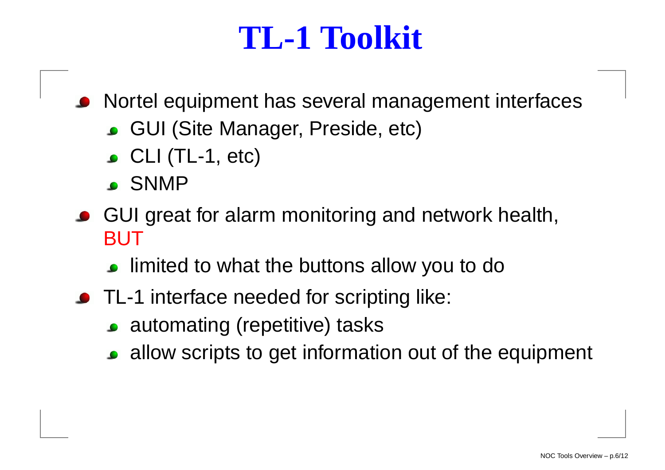#### **TL-1 Toolkit**

Nortel equipment has several management interfaces

- GUI (Site Manager, Preside, etc)
- $\bullet$  CLI (TL-1, etc)
- SNMP
- GUI great for alarm monitoring and network health, BUT
	- limited to what the buttons allow you to do
- TL-1 interface needed for scripting like:
	- automating (repetitive) tasks
	- allow scripts to get information out of the equipment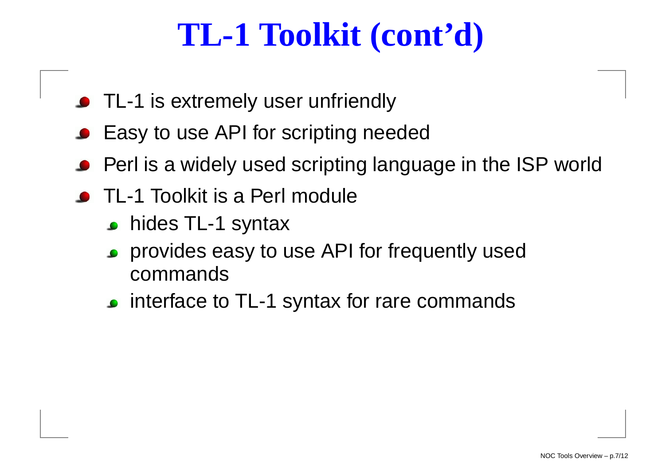## **TL-1 Toolkit (cont'd)**

- TL-1 is extremely user unfriendly
- **Easy to use API for scripting needed**
- Perl is <sup>a</sup> widely used scripting language in the ISP world
- TL-1 Toolkit is <sup>a</sup> Perl module
	- **hides TL-1 syntax**
	- provides easy to use API for frequently usedcommands
	- **c** interface to TL-1 syntax for rare commands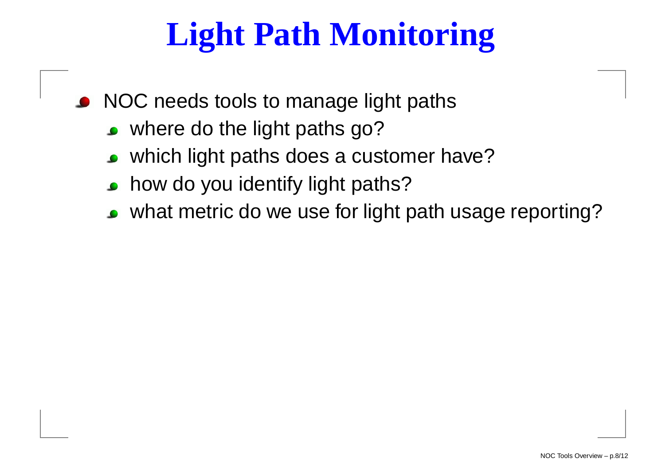## **Light Path Monitoring**

NOC needs tools to manage light paths

- where do the light paths go?
- which light paths does <sup>a</sup> customer have?
- how do you identify light paths? $\bullet$
- what metric do we use for light path usage reporting?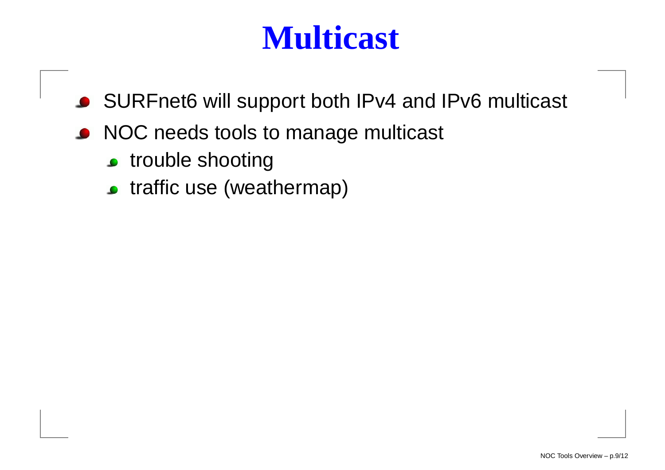#### **Multicast**

- SURFnet6 will support both IPv4 and IPv6 multicast
- NOC needs tools to manage multicast
	- **c** trouble shooting
	- traffic use (weathermap)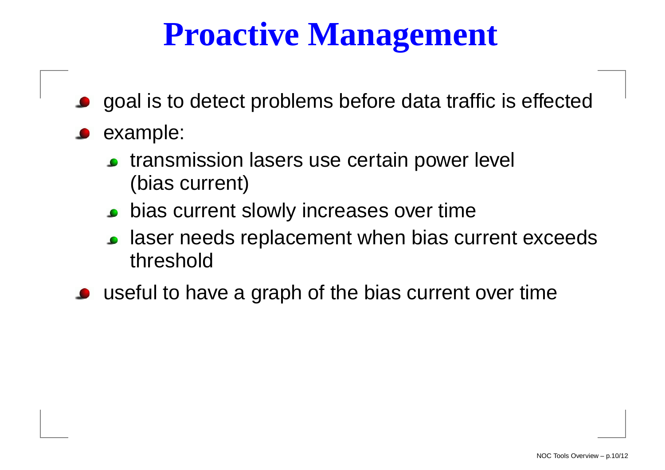## **Proactive Management**

- goal is to detect problems before data traffic is effected
- **example:** 
	- **transmission lasers use certain power level** (bias current)
	- **•** bias current slowly increases over time
	- laser needs replacement when bias current exceedsthreshold
- useful to have <sup>a</sup> graph of the bias current over time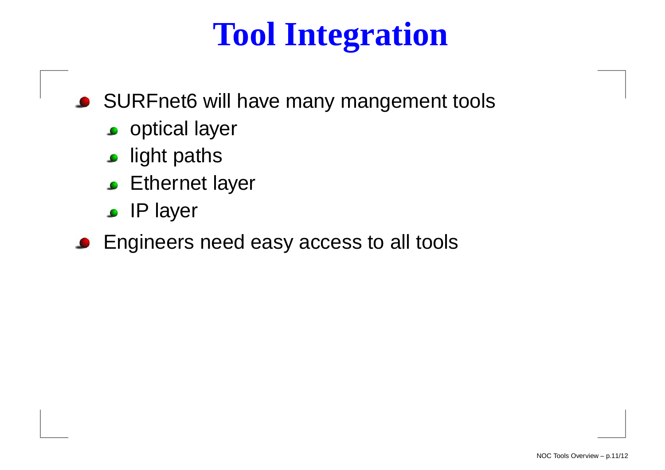## **Tool Integration**

- SURFnet6 will have many mangement tools
	- **o** optical layer
	- **s** light paths
	- **Ethernet layer**
	- IP layer
- **Engineers need easy access to all tools**